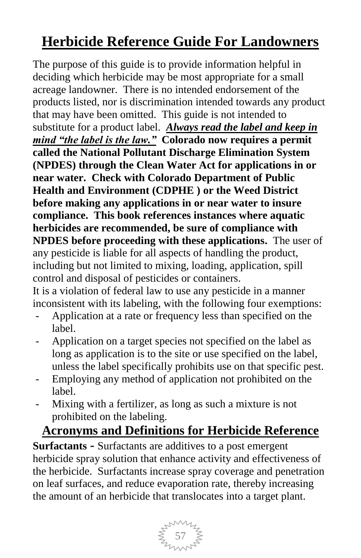# **Herbicide Reference Guide For Landowners**

The purpose of this guide is to provide information helpful in deciding which herbicide may be most appropriate for a small acreage landowner. There is no intended endorsement of the products listed, nor is discrimination intended towards any product that may have been omitted. This guide is not intended to substitute for a product label. *Always read the label and keep in mind "the label is the law."* **Colorado now requires a permit called the National Pollutant Discharge Elimination System (NPDES) through the Clean Water Act for applications in or near water. Check with Colorado Department of Public Health and Environment (CDPHE ) or the Weed District before making any applications in or near water to insure compliance. This book references instances where aquatic herbicides are recommended, be sure of compliance with NPDES before proceeding with these applications.** The user of any pesticide is liable for all aspects of handling the product, including but not limited to mixing, loading, application, spill control and disposal of pesticides or containers.

It is a violation of federal law to use any pesticide in a manner inconsistent with its labeling, with the following four exemptions:

- Application at a rate or frequency less than specified on the label.
- Application on a target species not specified on the label as long as application is to the site or use specified on the label, unless the label specifically prohibits use on that specific pest.
- Employing any method of application not prohibited on the label.
- Mixing with a fertilizer, as long as such a mixture is not prohibited on the labeling.

## **Acronyms and Definitions for Herbicide Reference**

**Surfactants -** Surfactants are additives to a post emergent herbicide spray solution that enhance activity and effectiveness of the herbicide. Surfactants increase spray coverage and penetration on leaf surfaces, and reduce evaporation rate, thereby increasing the amount of an herbicide that translocates into a target plant.

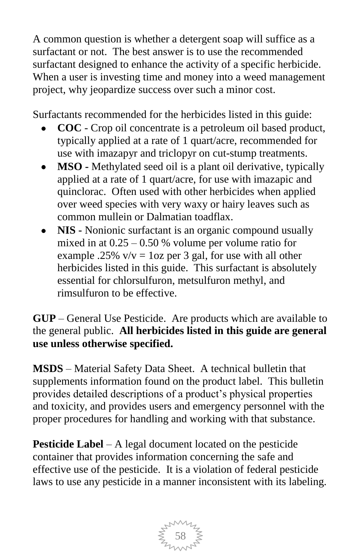A common question is whether a detergent soap will suffice as a surfactant or not. The best answer is to use the recommended surfactant designed to enhance the activity of a specific herbicide. When a user is investing time and money into a weed management project, why jeopardize success over such a minor cost.

Surfactants recommended for the herbicides listed in this guide:

- **COC** Crop oil concentrate is a petroleum oil based product, typically applied at a rate of 1 quart/acre, recommended for use with imazapyr and triclopyr on cut-stump treatments.
- **MSO -** Methylated seed oil is a plant oil derivative, typically applied at a rate of 1 quart/acre, for use with imazapic and quinclorac. Often used with other herbicides when applied over weed species with very waxy or hairy leaves such as common mullein or Dalmatian toadflax.
- **NIS -** Nonionic surfactant is an organic compound usually mixed in at  $0.25 - 0.50$  % volume per volume ratio for example .25%  $v/v = 1$  oz per 3 gal, for use with all other herbicides listed in this guide. This surfactant is absolutely essential for chlorsulfuron, metsulfuron methyl, and rimsulfuron to be effective.

**GUP** – General Use Pesticide. Are products which are available to the general public. **All herbicides listed in this guide are general use unless otherwise specified.**

**MSDS** – Material Safety Data Sheet. A technical bulletin that supplements information found on the product label. This bulletin provides detailed descriptions of a product"s physical properties and toxicity, and provides users and emergency personnel with the proper procedures for handling and working with that substance.

**Pesticide Label** – A legal document located on the pesticide container that provides information concerning the safe and effective use of the pesticide. It is a violation of federal pesticide laws to use any pesticide in a manner inconsistent with its labeling.

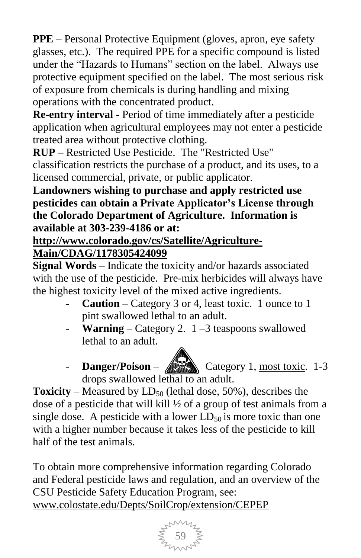**PPE** – Personal Protective Equipment (gloves, apron, eye safety glasses, etc.). The required PPE for a specific compound is listed under the "Hazards to Humans" section on the label. Always use protective equipment specified on the label. The most serious risk of exposure from chemicals is during handling and mixing operations with the concentrated product.

**Re-entry interval** - Period of time immediately after a pesticide application when agricultural employees may not enter a pesticide treated area without protective clothing.

**RUP** – Restricted Use Pesticide. The "Restricted Use" classification restricts the purchase of a product, and its uses, to a licensed commercial, private, or public applicator.

**Landowners wishing to purchase and apply restricted use pesticides can obtain a Private Applicator"s License through the Colorado Department of Agriculture. Information is available at 303-239-4186 or at:** 

### **[http://www.colorado.gov/cs/Satellite/Agriculture-](http://www.colorado.gov/cs/Satellite/Agriculture-Main/CDAG/1178305424099)**

### **[Main/CDAG/1178305424099](http://www.colorado.gov/cs/Satellite/Agriculture-Main/CDAG/1178305424099)**

**Signal Words** – Indicate the toxicity and/or hazards associated with the use of the pesticide. Pre-mix herbicides will always have the highest toxicity level of the mixed active ingredients.

- **Caution** Category 3 or 4, least toxic. 1 ounce to 1 pint swallowed lethal to an adult.
- **Warning** Category 2.  $1 3$  teaspoons swallowed lethal to an adult.
- Danger/Poison **Category 1**, most toxic. 1-3 drops swallowed lethal to an adult.

**Toxicity** – Measured by  $LD_{50}$  (lethal dose, 50%), describes the dose of a pesticide that will kill ½ of a group of test animals from a single dose. A pesticide with a lower  $LD_{50}$  is more toxic than one with a higher number because it takes less of the pesticide to kill half of the test animals.

To obtain more comprehensive information regarding Colorado and Federal pesticide laws and regulation, and an overview of the CSU Pesticide Safety Education Program, see: [www.colostate.edu/Depts/SoilCrop/extension/CEPEP](http://www.colostate.edu/Depts/SoilCrop/extension/CEPEP)

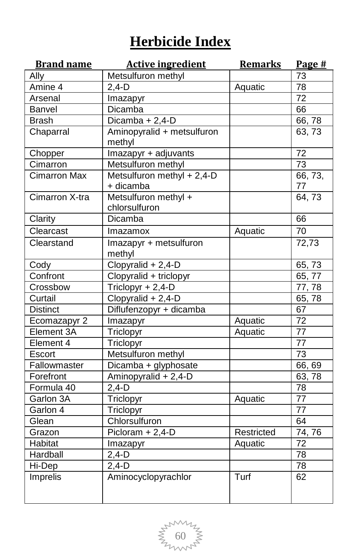# **Herbicide Index**

| <b>Brand name</b>   | <b>Active ingredient</b>      | <b>Remarks</b> | Page #          |
|---------------------|-------------------------------|----------------|-----------------|
| Ally                | Metsulfuron methyl            |                | 73              |
| Amine 4             | $2,4-D$                       | Aquatic        | $\overline{78}$ |
| Arsenal             | Imazapyr                      |                | 72              |
| Banvel              | Dicamba                       |                | 66              |
| <b>Brash</b>        | Dicamba + $2,4$ -D            |                | 66,78           |
| Chaparral           | Aminopyralid + metsulfuron    |                | 63, 73          |
|                     | methyl                        |                |                 |
| Chopper             | Imazapyr + adjuvants          |                | 72              |
| Cimarron            | Metsulfuron methyl            |                | 73              |
| <b>Cimarron Max</b> | Metsulfuron methyl $+ 2,4$ -D |                | 66, 73,         |
|                     | + dicamba                     |                | 77              |
| Cimarron X-tra      | Metsulfuron methyl +          |                | 64,73           |
|                     | chlorsulfuron                 |                |                 |
| Clarity             | Dicamba                       |                | 66              |
| Clearcast           | Imazamox                      | Aquatic        | 70              |
| Clearstand          | Imazapyr + metsulfuron        |                | 72,73           |
|                     | methyl                        |                |                 |
| Cody                | $Clopyralid + 2,4-D$          |                | 65,73           |
| Confront            | Clopyralid + triclopyr        |                | 65, 77          |
| Crossbow            | Triclopyr + 2,4-D             |                | 77, 78          |
| Curtail             | Clopyralid + 2,4-D            |                | 65,78           |
| <b>Distinct</b>     | Diflufenzopyr + dicamba       |                | 67              |
| Ecomazapyr 2        | Imazapyr                      | Aquatic        | 72              |
| Element 3A          | Triclopyr                     | Aquatic        | 77              |
| Element 4           | Triclopyr                     |                | 77              |
| Escort              | Metsulfuron methyl            |                | 73              |
| Fallowmaster        | Dicamba + glyphosate          |                | 66, 69          |
| Forefront           | Aminopyralid + 2,4-D          |                | 63,78           |
| Formula 40          | $2,4-D$                       |                | 78              |
| Garlon 3A           | Triclopyr                     | Aquatic        | 77              |
| Garlon 4            | Triclopyr                     |                | $\overline{77}$ |
| Glean               | Chlorsulfuron                 |                | 64              |
| Grazon              | Picloram + 2,4-D              | Restricted     | 74,76           |
| Habitat             | Imazapyr                      | Aquatic        | $\overline{72}$ |
| Hardball            | $2,4-D$                       |                | 78              |
| Hi-Dep              | $2,4-D$                       |                | $\overline{78}$ |
| Imprelis            | Aminocyclopyrachlor           | Turf           | 62              |
|                     |                               |                |                 |
|                     |                               |                |                 |

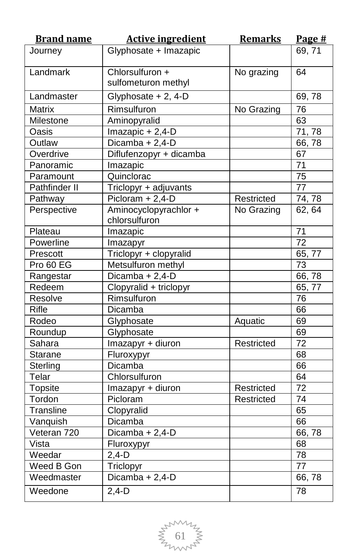| <b>Brand name</b> | <b>Active ingredient</b> | <b>Remarks</b> | Page #          |
|-------------------|--------------------------|----------------|-----------------|
| Journey           | Glyphosate + Imazapic    |                | 69, 71          |
|                   |                          |                |                 |
| Landmark          | Chlorsulfuron +          | No grazing     | 64              |
|                   | sulfometuron methyl      |                |                 |
| Landmaster        | Glyphosate + 2, 4-D      |                | 69,78           |
| Matrix            | Rimsulfuron              | No Grazing     | 76              |
| Milestone         | Aminopyralid             |                | 63              |
| Oasis             | Imazapic + 2,4-D         |                | 71,78           |
| Outlaw            | Dicamba + $2,4-D$        |                | 66,78           |
| Overdrive         | Diflufenzopyr + dicamba  |                | 67              |
| Panoramic         | Imazapic                 |                | 71              |
| Paramount         | Quinclorac               |                | 75              |
| Pathfinder II     | Triclopyr + adjuvants    |                | $\overline{77}$ |
| Pathway           | $Picloram + 2,4-D$       | Restricted     | 74, 78          |
| Perspective       | Aminocyclopyrachlor +    | No Grazing     | 62, 64          |
|                   | chlorsulfuron            |                |                 |
| Plateau           | Imazapic                 |                | 71              |
| Powerline         | Imazapyr                 |                | 72              |
| Prescott          | Triclopyr + clopyralid   |                | 65, 77          |
| Pro 60 EG         | Metsulfuron methyl       |                | $\overline{73}$ |
| Rangestar         | $Dicamba + 2,4-D$        |                | 66,78           |
| Redeem            | Clopyralid + triclopyr   |                | 65, 77          |
| Resolve           | Rimsulfuron              |                | 76              |
| Rifle             | Dicamba                  |                | 66              |
| Rodeo             | Glyphosate               | Aquatic        | 69              |
| Roundup           | Glyphosate               |                | 69              |
| Sahara            | Imazapyr + diuron        | Restricted     | $\overline{72}$ |
| Starane           | Fluroxypyr               |                | 68              |
| Sterling          | Dicamba                  |                | 66              |
| Telar             | Chlorsulfuron            |                | 64              |
| <b>Topsite</b>    | Imazapyr + diuron        | Restricted     | 72              |
| Tordon            | Picloram                 | Restricted     | $\overline{74}$ |
| Transline         | Clopyralid               |                | 65              |
| Vanquish          | Dicamba                  |                | 66              |
| Veteran 720       | Dicamba + 2,4-D          |                | 66,78           |
| Vista             | Fluroxypyr               |                | 68              |
| Weedar            | $2,4-D$                  |                | 78              |
| Weed B Gon        | Triclopyr                |                | 77              |
| Weedmaster        | Dicamba + 2,4-D          |                | 66,78           |
| Weedone           | $2,4-D$                  |                | 78              |

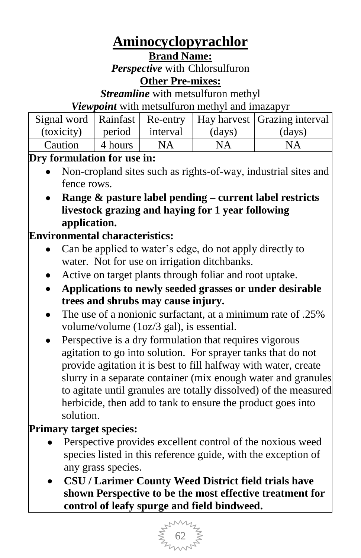# **Aminocyclopyrachlor**

**Brand Name:**

*Perspective* with Chlorsulfuron **Other Pre-mixes:**

*Streamline* with metsulfuron methyl

*Viewpoint* with metsulfuron methyl and imazapyr

|            |         |          |        | Signal word   Rainfast   Re-entry   Hay harvest   Grazing interval |
|------------|---------|----------|--------|--------------------------------------------------------------------|
| (toxicity) | period  | interval | (days) | (days)                                                             |
| Caution    | 4 hours | NA       | NA     | NA                                                                 |

### **Dry formulation for use in:**

- Non-cropland sites such as rights-of-way, industrial sites and fence rows.
- **Range & pasture label pending – current label restricts livestock grazing and haying for 1 year following application.**

### **Environmental characteristics:**

- Can be applied to water"s edge, do not apply directly to  $\bullet$ water. Not for use on irrigation ditchbanks.
- Active on target plants through foliar and root uptake.
- **Applications to newly seeded grasses or under desirable trees and shrubs may cause injury.**
- The use of a nonionic surfactant, at a minimum rate of .25% volume/volume (1oz/3 gal), is essential.
- Perspective is a dry formulation that requires vigorous agitation to go into solution. For sprayer tanks that do not provide agitation it is best to fill halfway with water, create slurry in a separate container (mix enough water and granules to agitate until granules are totally dissolved) of the measured herbicide, then add to tank to ensure the product goes into solution.

### **Primary target species:**

- Perspective provides excellent control of the noxious weed species listed in this reference guide, with the exception of any grass species.
- **CSU / Larimer County Weed District field trials have shown Perspective to be the most effective treatment for control of leafy spurge and field bindweed.**

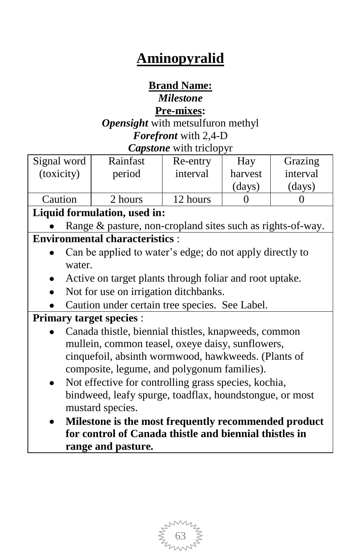# **Aminopyralid**

### **Brand Name:**

### *Milestone*

#### **Pre-mixes:**

*Opensight* with metsulfuron methyl *Forefront* with 2,4-D *Capstone* with triclopyr

| Signal word                  | Rainfast                                                 | Re-entry | Hay     | Grazing  |  |
|------------------------------|----------------------------------------------------------|----------|---------|----------|--|
| (toxicity)                   | period                                                   | interval | harvest | interval |  |
|                              |                                                          |          | (days)  | (days)   |  |
| Caution                      | 2 hours                                                  | 12 hours |         |          |  |
| Liquid formulation, used in: |                                                          |          |         |          |  |
|                              | Dange & pacture non cropland sites such as rights of way |          |         |          |  |

#### Range & pasture, non-cropland sites such as right **Environmental characteristics** :

- Can be applied to water"s edge; do not apply directly to water.
- Active on target plants through foliar and root uptake.
- Not for use on irrigation ditchbanks.
- Caution under certain tree species. See Label.

### **Primary target species** :

- Canada thistle, biennial thistles, knapweeds, common mullein, common teasel, oxeye daisy, sunflowers, cinquefoil, absinth wormwood, hawkweeds. (Plants of composite, legume, and polygonum families).
- Not effective for controlling grass species, kochia, bindweed, leafy spurge, toadflax, houndstongue, or most mustard species.
- **Milestone is the most frequently recommended product for control of Canada thistle and biennial thistles in range and pasture.**

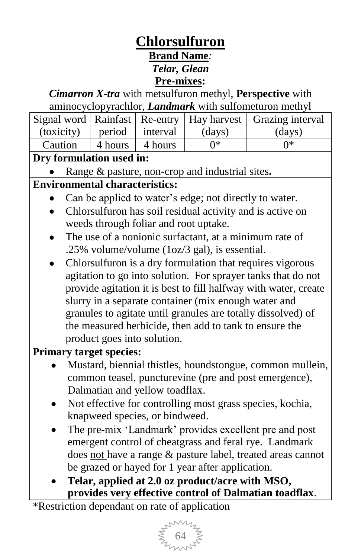## **Chlorsulfuron**

**Brand Name***:*

*Telar, Glean*

**Pre-mixes:**

### *Cimarron X-tra* with metsulfuron methyl, **Perspective** with aminocyclopyrachlor, *Landmark* with sulfometuron methyl

|                                  |         |         |        | Signal word   Rainfast   Re-entry   Hay harvest   Grazing interval |
|----------------------------------|---------|---------|--------|--------------------------------------------------------------------|
| $(toxicity)$   period   interval |         |         | (days) | (days)                                                             |
| Caution                          | 4 hours | 4 hours | ∩∗     | ∩∗                                                                 |

### **Dry formulation used in:**

Range & pasture, non-crop and industrial sites**.**

### **Environmental characteristics:**

- Can be applied to water"s edge; not directly to water.
- Chlorsulfuron has soil residual activity and is active on weeds through foliar and root uptake.
- The use of a nonionic surfactant, at a minimum rate of .25% volume/volume (1oz/3 gal), is essential.
- Chlorsulfuron is a dry formulation that requires vigorous agitation to go into solution. For sprayer tanks that do not provide agitation it is best to fill halfway with water, create slurry in a separate container (mix enough water and granules to agitate until granules are totally dissolved) of the measured herbicide, then add to tank to ensure the product goes into solution.

### **Primary target species:**

- Mustard, biennial thistles, houndstongue, common mullein, common teasel, puncturevine (pre and post emergence), Dalmatian and yellow toadflax.
- Not effective for controlling most grass species, kochia, knapweed species, or bindweed.
- The pre-mix "Landmark" provides excellent pre and post emergent control of cheatgrass and feral rye. Landmark does not have a range & pasture label, treated areas cannot be grazed or hayed for 1 year after application.
- **Telar, applied at 2.0 oz product/acre with MSO, provides very effective control of Dalmatian toadflax**.

\*Restriction dependant on rate of application

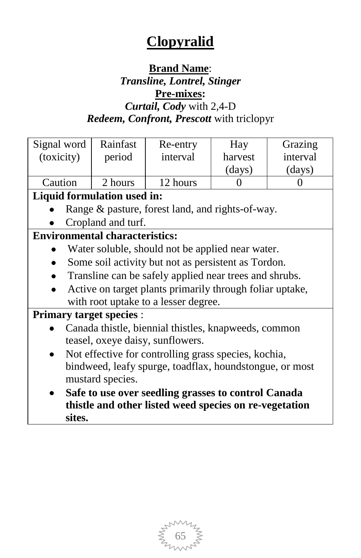# **Clopyralid**

### **Brand Name**:

### *Transline, Lontrel, Stinger* **Pre-mixes:** *Curtail, Cody* with 2,4-D

# *Redeem, Confront, Prescott* with triclopyr

| Signal word                           | Rainfast           | Re-entry                                                 | Hay               | Grazing  |
|---------------------------------------|--------------------|----------------------------------------------------------|-------------------|----------|
| (toxicity)                            | period             | interval                                                 | harvest           | interval |
|                                       |                    |                                                          | (days)            | (days)   |
| Caution                               | 2 hours            | 12 hours                                                 | $\mathbf{\Omega}$ | 0        |
| Liquid formulation used in:           |                    |                                                          |                   |          |
|                                       |                    | Range & pasture, forest land, and rights-of-way.         |                   |          |
|                                       | Cropland and turf. |                                                          |                   |          |
| <b>Environmental characteristics:</b> |                    |                                                          |                   |          |
|                                       |                    | Water soluble, should not be applied near water.         |                   |          |
|                                       |                    | Some soil activity but not as persistent as Tordon.      |                   |          |
|                                       |                    | Transline can be safely applied near trees and shrubs.   |                   |          |
|                                       |                    | Active on target plants primarily through foliar uptake, |                   |          |
|                                       |                    | with root uptake to a lesser degree.                     |                   |          |
| <b>Primary target species:</b>        |                    |                                                          |                   |          |
|                                       |                    | Canada thistle, biennial thistles, knapweeds, common     |                   |          |
|                                       |                    | teasel, oxeye daisy, sunflowers.                         |                   |          |
|                                       |                    | Not effective for controlling grass species, kochia,     |                   |          |
|                                       |                    | bindweed, leafy spurge, toadflax, houndstongue, or most  |                   |          |
| mustard species.                      |                    |                                                          |                   |          |
|                                       |                    | Safe to use over seedling grasses to control Canada      |                   |          |
|                                       |                    | thistle and other listed weed species on re-vegetation   |                   |          |
| sites.                                |                    |                                                          |                   |          |

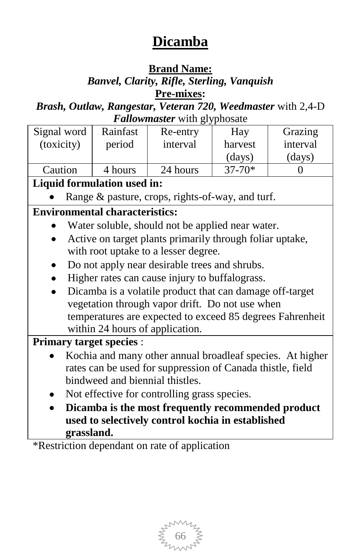## **Dicamba**

### **Brand Name:**

### *Banvel, Clarity, Rifle, Sterling, Vanquish* **Pre-mixes:**

*Brash, Outlaw, Rangestar, Veteran 720, Weedmaster* with 2,4-D *Fallowmaster* with glyphosate

|                                                    |            |                                       | r anowmasier when gryphosale                               |            |          |
|----------------------------------------------------|------------|---------------------------------------|------------------------------------------------------------|------------|----------|
| Signal word                                        |            | Rainfast                              | Re-entry                                                   | Hay        | Grazing  |
| (toxicity)                                         |            | period                                | interval                                                   | harvest    | interval |
|                                                    |            |                                       |                                                            | (days)     | (days)   |
| Caution                                            |            | 4 hours                               | 24 hours                                                   | $37 - 70*$ | 0        |
|                                                    |            | Liquid formulation used in:           |                                                            |            |          |
|                                                    |            |                                       | Range & pasture, crops, rights-of-way, and turf.           |            |          |
|                                                    |            | <b>Environmental characteristics:</b> |                                                            |            |          |
|                                                    |            |                                       | Water soluble, should not be applied near water.           |            |          |
|                                                    |            |                                       | Active on target plants primarily through foliar uptake,   |            |          |
|                                                    |            |                                       | with root uptake to a lesser degree.                       |            |          |
|                                                    |            |                                       | Do not apply near desirable trees and shrubs.              |            |          |
|                                                    |            |                                       | Higher rates can cause injury to buffalograss.             |            |          |
|                                                    |            |                                       | Dicamba is a volatile product that can damage off-target   |            |          |
|                                                    |            |                                       | vegetation through vapor drift. Do not use when            |            |          |
|                                                    |            |                                       | temperatures are expected to exceed 85 degrees Fahrenheit  |            |          |
|                                                    |            | within 24 hours of application.       |                                                            |            |          |
|                                                    |            | <b>Primary target species:</b>        |                                                            |            |          |
|                                                    |            |                                       | Kochia and many other annual broadleaf species. At higher  |            |          |
|                                                    |            |                                       | rates can be used for suppression of Canada thistle, field |            |          |
|                                                    |            | bindweed and biennial thistles.       |                                                            |            |          |
|                                                    |            |                                       | Not effective for controlling grass species.               |            |          |
| Dicamba is the most frequently recommended product |            |                                       |                                                            |            |          |
|                                                    |            |                                       | used to selectively control kochia in established          |            |          |
|                                                    | grassland. |                                       |                                                            |            |          |

\*Restriction dependant on rate of application

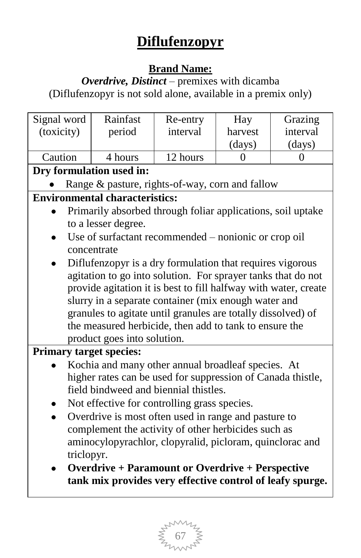# **Diflufenzopyr**

### **Brand Name:**

*Overdrive, Distinct* – premixes with dicamba (Diflufenzopyr is not sold alone, available in a premix only)

| Grazing                                                         |  |  |  |  |  |
|-----------------------------------------------------------------|--|--|--|--|--|
| interval                                                        |  |  |  |  |  |
| (days)                                                          |  |  |  |  |  |
|                                                                 |  |  |  |  |  |
| Dry formulation used in:                                        |  |  |  |  |  |
|                                                                 |  |  |  |  |  |
|                                                                 |  |  |  |  |  |
| Primarily absorbed through foliar applications, soil uptake     |  |  |  |  |  |
|                                                                 |  |  |  |  |  |
|                                                                 |  |  |  |  |  |
|                                                                 |  |  |  |  |  |
| Diflufenzopyr is a dry formulation that requires vigorous       |  |  |  |  |  |
| agitation to go into solution. For sprayer tanks that do not    |  |  |  |  |  |
| provide agitation it is best to fill halfway with water, create |  |  |  |  |  |
|                                                                 |  |  |  |  |  |
| granules to agitate until granules are totally dissolved) of    |  |  |  |  |  |
|                                                                 |  |  |  |  |  |
|                                                                 |  |  |  |  |  |
|                                                                 |  |  |  |  |  |
|                                                                 |  |  |  |  |  |
| higher rates can be used for suppression of Canada thistle,     |  |  |  |  |  |
|                                                                 |  |  |  |  |  |
|                                                                 |  |  |  |  |  |
|                                                                 |  |  |  |  |  |
|                                                                 |  |  |  |  |  |
| aminocylopyrachlor, clopyralid, picloram, quinclorac and        |  |  |  |  |  |
|                                                                 |  |  |  |  |  |
|                                                                 |  |  |  |  |  |
| tank mix provides very effective control of leafy spurge.       |  |  |  |  |  |
|                                                                 |  |  |  |  |  |

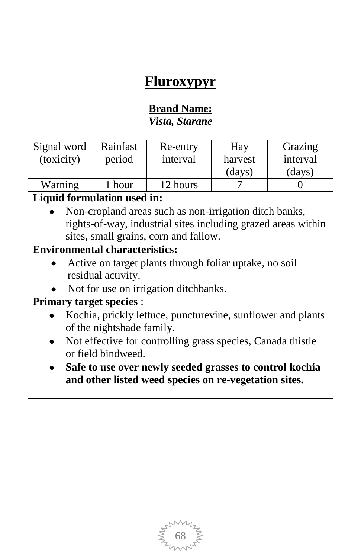## **Fluroxypyr**

#### **Brand Name:** *Vista, Starane*

| Signal word | Rainfast | Re-entry | Hay     | Grazing          |
|-------------|----------|----------|---------|------------------|
| (toxicity)  | period   | interval | harvest | interval         |
|             |          |          | (days)  | $\frac{days}{9}$ |
| Warning     | hour     | 12 hours |         |                  |

### **Liquid formulation used in:**

Non-cropland areas such as non-irrigation ditch banks, rights-of-way, industrial sites including grazed areas within sites, small grains, corn and fallow.

### **Environmental characteristics:**

- Active on target plants through foliar uptake, no soil residual activity.
- Not for use on irrigation ditchbanks.

#### **Primary target species** :

- Kochia, prickly lettuce, puncturevine, sunflower and plants  $\bullet$ of the nightshade family.
- Not effective for controlling grass species, Canada thistle  $\bullet$ or field bindweed.
- **Safe to use over newly seeded grasses to control kochia and other listed weed species on re-vegetation sites.**

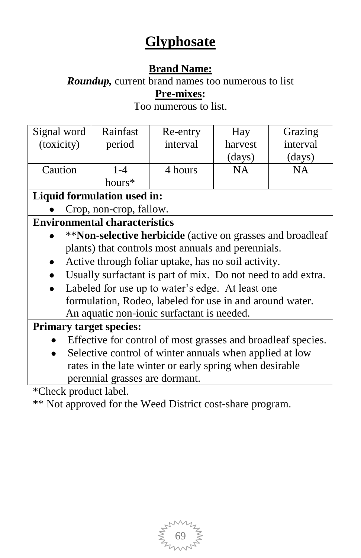# **Glyphosate**

### **Brand Name:**

*Roundup,* current brand names too numerous to list **Pre-mixes:**

Too numerous to list.

| Signal word<br>(toxicity) | Rainfast<br>period | Re-entry<br>interval | Hay<br>harvest<br>(days) | Grazing<br>interval<br>(days) |
|---------------------------|--------------------|----------------------|--------------------------|-------------------------------|
| Caution                   | 1-4<br>hours*      | 4 hours              | NΑ                       | NΑ                            |

### **Liquid formulation used in:**

Crop, non-crop, fallow.

### **Environmental characteristics**

- \*\***Non-selective herbicide** (active on grasses and broadleaf plants) that controls most annuals and perennials.
- Active through foliar uptake, has no soil activity.  $\mathbf{L}$
- Usually surfactant is part of mix. Do not need to add extra.
- Labeled for use up to water's edge. At least one formulation, Rodeo, labeled for use in and around water. An aquatic non-ionic surfactant is needed.

### **Primary target species:**

- Effective for control of most grasses and broadleaf species.
- Selective control of winter annuals when applied at low rates in the late winter or early spring when desirable perennial grasses are dormant.

\*Check product label.

\*\* Not approved for the Weed District cost-share program.

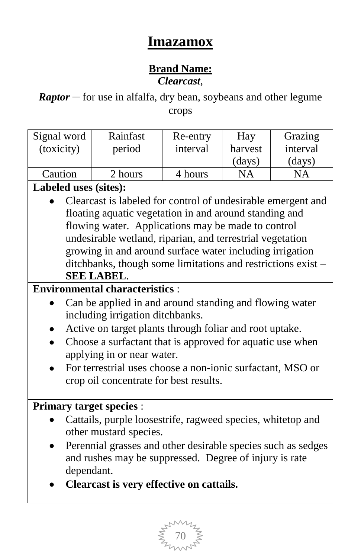## **Imazamox**

#### **Brand Name:** *Clearcast,*

*Raptor* – for use in alfalfa, dry bean, soybeans and other legume crops

| Signal word | Rainfast | Re-entry | Hay     | Grazing          |
|-------------|----------|----------|---------|------------------|
| (toxicity)  | period   | interval | harvest | interval         |
|             |          |          | (days)  | $\frac{days}{9}$ |
| Caution     | 2 hours  | 4 hours  | NΑ      | NА               |

### **Labeled uses (sites):**

Clearcast is labeled for control of undesirable emergent and floating aquatic vegetation in and around standing and flowing water. Applications may be made to control undesirable wetland, riparian, and terrestrial vegetation growing in and around surface water including irrigation ditchbanks, though some limitations and restrictions exist – **SEE LABEL**.

### **Environmental characteristics** :

- Can be applied in and around standing and flowing water including irrigation ditchbanks.
- Active on target plants through foliar and root uptake.
- Choose a surfactant that is approved for aquatic use when applying in or near water.
- For terrestrial uses choose a non-ionic surfactant, MSO or crop oil concentrate for best results.

#### **Primary target species** :

- Cattails, purple loosestrife, ragweed species, whitetop and other mustard species.
- Perennial grasses and other desirable species such as sedges and rushes may be suppressed. Degree of injury is rate dependant.
- **Clearcast is very effective on cattails.**

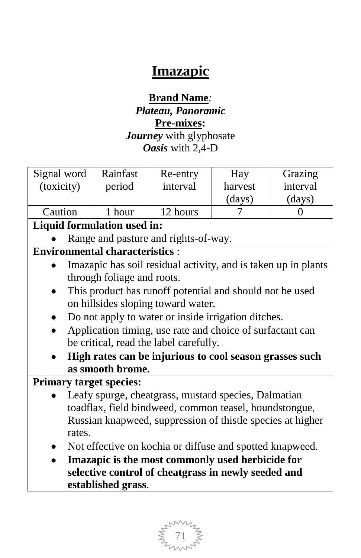# **Imazapic**

#### **Brand Name***: Plateau, Panoramic* **Pre-mixes:** *Journey* with glyphosate *Oasis* with 2,4-D

| Signal word                           | Rainfast                                         | Re-entry                                                       | Hay     | Grazing  |  |  |
|---------------------------------------|--------------------------------------------------|----------------------------------------------------------------|---------|----------|--|--|
| (toxicity)                            | period                                           | interval                                                       | harvest | interval |  |  |
|                                       |                                                  |                                                                | (days)  | (days)   |  |  |
| Caution                               | 1 hour                                           | 12 hours                                                       | 7       | 0        |  |  |
|                                       | Liquid formulation used in:                      |                                                                |         |          |  |  |
|                                       |                                                  |                                                                |         |          |  |  |
|                                       |                                                  | Range and pasture and rights-of-way.                           |         |          |  |  |
| <b>Environmental characteristics:</b> |                                                  |                                                                |         |          |  |  |
|                                       |                                                  | Imazapic has soil residual activity, and is taken up in plants |         |          |  |  |
|                                       | through foliage and roots.                       |                                                                |         |          |  |  |
|                                       |                                                  | This product has runoff potential and should not be used       |         |          |  |  |
|                                       |                                                  | on hillsides sloping toward water.                             |         |          |  |  |
|                                       |                                                  | Do not apply to water or inside irrigation ditches.            |         |          |  |  |
|                                       |                                                  | Application timing, use rate and choice of surfactant can      |         |          |  |  |
|                                       |                                                  | be critical, read the label carefully.                         |         |          |  |  |
|                                       |                                                  | High rates can be injurious to cool season grasses such        |         |          |  |  |
|                                       | as smooth brome.                                 |                                                                |         |          |  |  |
| <b>Primary target species:</b>        |                                                  |                                                                |         |          |  |  |
|                                       |                                                  |                                                                |         |          |  |  |
|                                       |                                                  | Leafy spurge, cheatgrass, mustard species, Dalmatian           |         |          |  |  |
|                                       |                                                  | toadflax, field bindweed, common teasel, houndstongue,         |         |          |  |  |
|                                       |                                                  | Russian knapweed, suppression of thistle species at higher     |         |          |  |  |
| rates.                                |                                                  |                                                                |         |          |  |  |
|                                       |                                                  | Not effective on kochia or diffuse and spotted knapweed.       |         |          |  |  |
|                                       | Imazapic is the most commonly used herbicide for |                                                                |         |          |  |  |
|                                       |                                                  | selective control of cheatgrass in newly seeded and            |         |          |  |  |
|                                       | established grass.                               |                                                                |         |          |  |  |

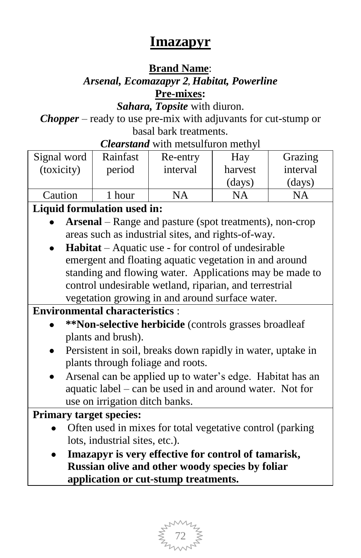## **Imazapyr**

### **Brand Name**:

### *Arsenal, Ecomazapyr 2, Habitat, Powerline*  **Pre-mixes:**

*Sahara, Topsite* with diuron.

*Chopper* – ready to use pre-mix with adjuvants for cut-stump or basal bark treatments.

*Clearstand* with metsulfuron methyl

| Signal word | Rainfast | Re-entry | Hay     | Grazing  |
|-------------|----------|----------|---------|----------|
| (toxicity)  | period   | interval | harvest | interval |
|             |          |          | (days)  | (days)   |
| Caution     | hour     | NA       | NA      | NΑ       |

### **Liquid formulation used in:**

- **Arsenal** Range and pasture (spot treatments), non-crop areas such as industrial sites, and rights-of-way.
- **Habitat** Aquatic use for control of undesirable emergent and floating aquatic vegetation in and around standing and flowing water. Applications may be made to control undesirable wetland, riparian, and terrestrial vegetation growing in and around surface water.

**Environmental characteristics** :

- **\*\*Non-selective herbicide** (controls grasses broadleaf plants and brush).
- Persistent in soil, breaks down rapidly in water, uptake in plants through foliage and roots.
- Arsenal can be applied up to water"s edge. Habitat has an  $\bullet$ aquatic label – can be used in and around water. Not for use on irrigation ditch banks.

### **Primary target species:**

- Often used in mixes for total vegetative control (parking lots, industrial sites, etc.).
- **Imazapyr is very effective for control of tamarisk, Russian olive and other woody species by foliar application or cut-stump treatments.**

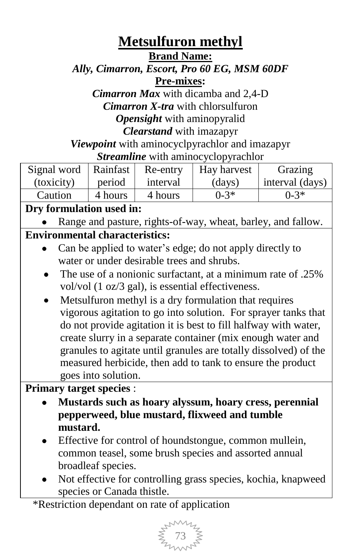## **Metsulfuron methyl**

**Brand Name:**

*Ally, Cimarron, Escort, Pro 60 EG, MSM 60DF* **Pre-mixes:**

*Cimarron Max* with dicamba and 2,4-D *Cimarron X-tra* with chlorsulfuron *Opensight* with aminopyralid *Clearstand* with imazapyr

*Viewpoint* with aminocyclpyrachlor and imazapyr *Streamline* with aminocyclopyrachlor

| Signal word   Rainfast |         | Re-entry | Hay harvest      | Grazing             |
|------------------------|---------|----------|------------------|---------------------|
| (toxicity)             | period  | interval | $\frac{days}{9}$ | $ $ interval (days) |
| Caution                | 4 hours | 4 hours  | $0 - 3*$         | $0 - 3*$            |

### **Dry formulation used in:**

Range and pasture, rights-of-way, wheat, barley, and fallow.

### **Environmental characteristics:**

- Can be applied to water"s edge; do not apply directly to water or under desirable trees and shrubs.
- The use of a nonionic surfactant, at a minimum rate of .25% vol/vol (1 oz/3 gal), is essential effectiveness.
- Metsulfuron methyl is a dry formulation that requires  $\bullet$ vigorous agitation to go into solution. For sprayer tanks that do not provide agitation it is best to fill halfway with water, create slurry in a separate container (mix enough water and granules to agitate until granules are totally dissolved) of the measured herbicide, then add to tank to ensure the product goes into solution.

**Primary target species** :

- **Mustards such as hoary alyssum, hoary cress, perennial pepperweed, blue mustard, flixweed and tumble mustard.**
- Effective for control of houndstongue, common mullein, common teasel, some brush species and assorted annual broadleaf species.
- Not effective for controlling grass species, kochia, knapweed species or Canada thistle.

\*Restriction dependant on rate of application

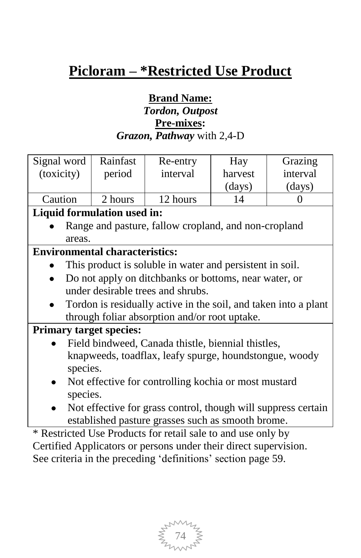# **Picloram – \*Restricted Use Product**

### **Brand Name:** *Tordon, Outpost* **Pre-mixes:** *Grazon, Pathway* with 2,4-D

| Signal word                                                      | Rainfast                                                        | Re-entry                                                 | Hay     | Grazing  |  |
|------------------------------------------------------------------|-----------------------------------------------------------------|----------------------------------------------------------|---------|----------|--|
| (toxicity)                                                       | period                                                          | interval                                                 | harvest | interval |  |
|                                                                  |                                                                 |                                                          | (days)  | (days)   |  |
| Caution                                                          | 2 hours                                                         | 12 hours                                                 | 14      | 0        |  |
|                                                                  |                                                                 |                                                          |         |          |  |
| Liquid formulation used in:                                      |                                                                 |                                                          |         |          |  |
|                                                                  |                                                                 | Range and pasture, fallow cropland, and non-cropland     |         |          |  |
| areas.                                                           |                                                                 |                                                          |         |          |  |
| <b>Environmental characteristics:</b>                            |                                                                 |                                                          |         |          |  |
|                                                                  |                                                                 | This product is soluble in water and persistent in soil. |         |          |  |
|                                                                  |                                                                 | Do not apply on ditchbanks or bottoms, near water, or    |         |          |  |
|                                                                  |                                                                 | under desirable trees and shrubs.                        |         |          |  |
|                                                                  |                                                                 |                                                          |         |          |  |
|                                                                  | Tordon is residually active in the soil, and taken into a plant |                                                          |         |          |  |
|                                                                  |                                                                 | through foliar absorption and/or root uptake.            |         |          |  |
| <b>Primary target species:</b>                                   |                                                                 |                                                          |         |          |  |
|                                                                  | Field bindweed, Canada thistle, biennial thistles,              |                                                          |         |          |  |
|                                                                  |                                                                 | knapweeds, toadflax, leafy spurge, houndstongue, woody   |         |          |  |
| species.                                                         |                                                                 |                                                          |         |          |  |
|                                                                  | Not effective for controlling kochia or most mustard            |                                                          |         |          |  |
|                                                                  | species.                                                        |                                                          |         |          |  |
|                                                                  |                                                                 |                                                          |         |          |  |
|                                                                  | Not effective for grass control, though will suppress certain   |                                                          |         |          |  |
|                                                                  | established pasture grasses such as smooth brome.               |                                                          |         |          |  |
| * Restricted Use Products for retail sale to and use only by     |                                                                 |                                                          |         |          |  |
| Certified Applicators or persons under their direct supervision. |                                                                 |                                                          |         |          |  |

See criteria in the preceding 'definitions' section page 59.

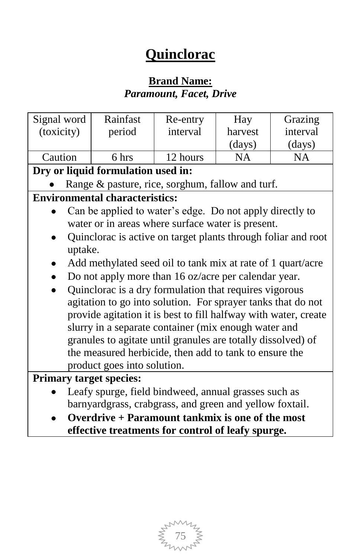# **Quinclorac**

### **Brand Name:** *Paramount, Facet, Drive*

| Signal word                    | Rainfast                                                        | Re-entry | Hay       | Grazing   |
|--------------------------------|-----------------------------------------------------------------|----------|-----------|-----------|
| (toxicity)                     | period                                                          | interval | harvest   | interval  |
|                                |                                                                 |          | (days)    | (days)    |
| Caution                        | 6 hrs                                                           | 12 hours | <b>NA</b> | <b>NA</b> |
|                                | Dry or liquid formulation used in:                              |          |           |           |
|                                | Range & pasture, rice, sorghum, fallow and turf.                |          |           |           |
|                                | <b>Environmental characteristics:</b>                           |          |           |           |
|                                | Can be applied to water's edge. Do not apply directly to        |          |           |           |
|                                | water or in areas where surface water is present.               |          |           |           |
|                                | Quinclorac is active on target plants through foliar and root   |          |           |           |
| uptake.                        |                                                                 |          |           |           |
|                                | Add methylated seed oil to tank mix at rate of 1 quart/acre     |          |           |           |
|                                | Do not apply more than 16 oz/acre per calendar year.            |          |           |           |
|                                | Quinclorac is a dry formulation that requires vigorous          |          |           |           |
|                                | agitation to go into solution. For sprayer tanks that do not    |          |           |           |
|                                | provide agitation it is best to fill halfway with water, create |          |           |           |
|                                | slurry in a separate container (mix enough water and            |          |           |           |
|                                | granules to agitate until granules are totally dissolved) of    |          |           |           |
|                                | the measured herbicide, then add to tank to ensure the          |          |           |           |
|                                | product goes into solution.                                     |          |           |           |
| <b>Primary target species:</b> |                                                                 |          |           |           |
|                                | Leafy spurge, field bindweed, annual grasses such as            |          |           |           |
|                                | barnyardgrass, crabgrass, and green and yellow foxtail.         |          |           |           |
|                                |                                                                 |          |           |           |

**Overdrive + Paramount tankmix is one of the most effective treatments for control of leafy spurge.**

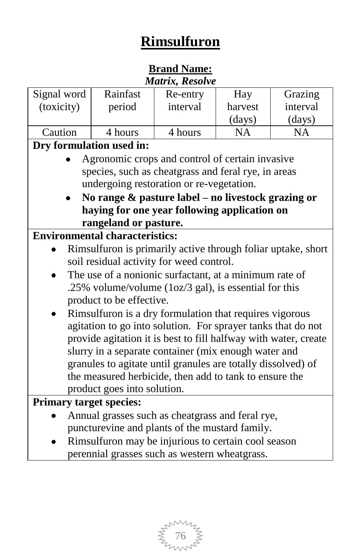# **Rimsulfuron**

#### **Brand Name:** *Matrix, Resolve*

|             |                                                                 | www.compares.com |           |           |
|-------------|-----------------------------------------------------------------|------------------|-----------|-----------|
| Signal word | Rainfast                                                        | Re-entry         | Hay       | Grazing   |
| (toxicity)  | period                                                          | interval         | harvest   | interval  |
|             |                                                                 |                  | (days)    | (days)    |
| Caution     | 4 hours                                                         | 4 hours          | <b>NA</b> | <b>NA</b> |
|             | Dry formulation used in:                                        |                  |           |           |
|             | Agronomic crops and control of certain invasive                 |                  |           |           |
|             | species, such as cheatgrass and feral rye, in areas             |                  |           |           |
|             | undergoing restoration or re-vegetation.                        |                  |           |           |
|             | No range $\&$ pasture label – no livestock grazing or           |                  |           |           |
|             | haying for one year following application on                    |                  |           |           |
|             | rangeland or pasture.                                           |                  |           |           |
|             | <b>Environmental characteristics:</b>                           |                  |           |           |
|             | Rimsulfuron is primarily active through foliar uptake, short    |                  |           |           |
|             | soil residual activity for weed control.                        |                  |           |           |
|             | The use of a nonionic surfactant, at a minimum rate of          |                  |           |           |
|             | .25% volume/volume (1oz/3 gal), is essential for this           |                  |           |           |
|             | product to be effective.                                        |                  |           |           |
|             | Rimsulfuron is a dry formulation that requires vigorous         |                  |           |           |
|             | agitation to go into solution. For sprayer tanks that do not    |                  |           |           |
|             | provide agitation it is best to fill halfway with water, create |                  |           |           |
|             | slurry in a separate container (mix enough water and            |                  |           |           |
|             | granules to agitate until granules are totally dissolved) of    |                  |           |           |
|             | the measured herbicide, then add to tank to ensure the          |                  |           |           |
|             | product goes into solution.                                     |                  |           |           |
|             | <b>Primary target species:</b>                                  |                  |           |           |
|             | Annual grasses such as cheatgrass and feral rye,                |                  |           |           |
|             | puncturevine and plants of the mustard family.                  |                  |           |           |
|             | Rimsulfuron may be injurious to certain cool season             |                  |           |           |
|             |                                                                 |                  |           |           |

perennial grasses such as western wheatgrass.

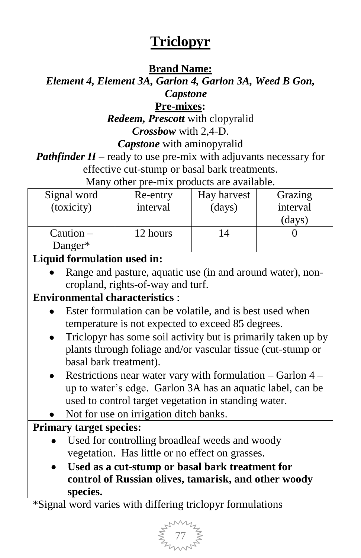## **Triclopyr**

### **Brand Name:**

### *Element 4, Element 3A, Garlon 4, Garlon 3A, Weed B Gon, Capstone*

### **Pre-mixes:**

*Redeem, Prescott* with clopyralid *Crossbow* with 2,4-D.

*Capstone* with aminopyralid

*Pathfinder II* – ready to use pre-mix with adjuvants necessary for effective cut-stump or basal bark treatments.

Many other pre-mix products are available.

| Signal word | Re-entry | Hay harvest | Grazing  |
|-------------|----------|-------------|----------|
| (toxicity)  | interval | (days)      | interval |
|             |          |             | (days)   |
| $Caution -$ | 12 hours | 14          |          |
| Danger $*$  |          |             |          |

### **Liquid formulation used in:**

Range and pasture, aquatic use (in and around water), noncropland, rights-of-way and turf.

### **Environmental characteristics** :

- Ester formulation can be volatile, and is best used when temperature is not expected to exceed 85 degrees.
- Triclopyr has some soil activity but is primarily taken up by plants through foliage and/or vascular tissue (cut-stump or basal bark treatment).
- Restrictions near water vary with formulation  $-$  Garlon  $4$ up to water"s edge. Garlon 3A has an aquatic label, can be used to control target vegetation in standing water.
- Not for use on irrigation ditch banks.

### **Primary target species:**

- Used for controlling broadleaf weeds and woody vegetation. Has little or no effect on grasses.
- **Used as a cut-stump or basal bark treatment for control of Russian olives, tamarisk, and other woody species.**

\*Signal word varies with differing triclopyr formulations

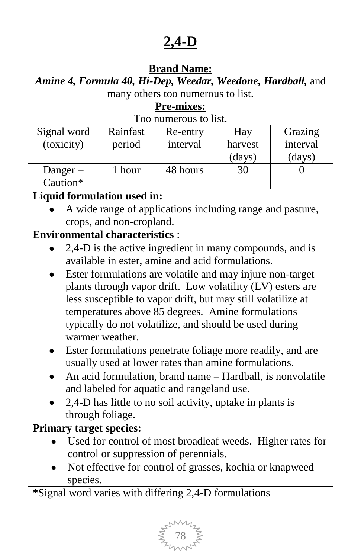## **2,4-D**

### **Brand Name:**

*Amine 4, Formula 40, Hi-Dep, Weedar, Weedone, Hardball,* and many others too numerous to list.

### **Pre-mixes:**

| Too numerous to list. |  |
|-----------------------|--|
|-----------------------|--|

| Signal word<br>(toxicity) | Rainfast<br>period | Re-entry<br>interval | Hay<br>harvest<br>(days) | Grazing<br>interval<br>(days) |
|---------------------------|--------------------|----------------------|--------------------------|-------------------------------|
| Danger $-$<br>Caution*    | 1 hour             | 48 hours             | 30                       |                               |

### **Liquid formulation used in:**

A wide range of applications including range and pasture, crops, and non-cropland.

#### **Environmental characteristics** :

- 2,4-D is the active ingredient in many compounds, and is available in ester, amine and acid formulations.
- Ester formulations are volatile and may injure non-target plants through vapor drift. Low volatility (LV) esters are less susceptible to vapor drift, but may still volatilize at temperatures above 85 degrees. Amine formulations typically do not volatilize, and should be used during warmer weather.
- Ester formulations penetrate foliage more readily, and are usually used at lower rates than amine formulations.
- An acid formulation, brand name Hardball, is nonvolatile and labeled for aquatic and rangeland use.
- 2,4-D has little to no soil activity, uptake in plants is through foliage.

#### **Primary target species:**

- Used for control of most broadleaf weeds. Higher rates for control or suppression of perennials.
- Not effective for control of grasses, kochia or knapweed species.

\*Signal word varies with differing 2,4-D formulations

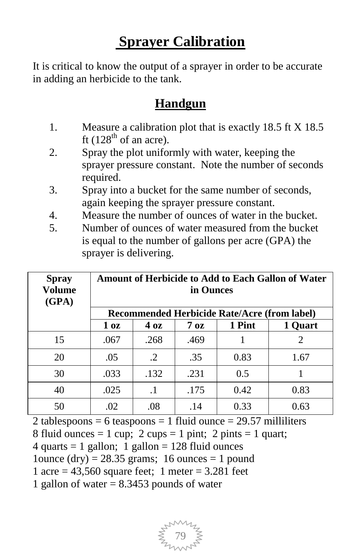# **Sprayer Calibration**

It is critical to know the output of a sprayer in order to be accurate in adding an herbicide to the tank.

### **Handgun**

- 1. Measure a calibration plot that is exactly 18.5 ft X 18.5 ft  $(128<sup>th</sup>$  of an acre).
- 2. Spray the plot uniformly with water, keeping the sprayer pressure constant. Note the number of seconds required.
- 3. Spray into a bucket for the same number of seconds, again keeping the sprayer pressure constant.
- 4. Measure the number of ounces of water in the bucket.
- 5. Number of ounces of water measured from the bucket is equal to the number of gallons per acre (GPA) the sprayer is delivering.

| <b>Spray</b><br>Volume<br>(GPA) | Amount of Herbicide to Add to Each Gallon of Water<br>in Ounces |                  |                  |                                              |                             |
|---------------------------------|-----------------------------------------------------------------|------------------|------------------|----------------------------------------------|-----------------------------|
|                                 |                                                                 |                  |                  | Recommended Herbicide Rate/Acre (from label) |                             |
|                                 | 1 <sub>oz</sub>                                                 | $4\,\mathrm{oz}$ | $7\,\mathrm{oz}$ | 1 Pint                                       | 1 Quart                     |
| 15                              | .067                                                            | .268             | .469             |                                              | $\mathcal{D}_{\mathcal{L}}$ |
| 20                              | .05                                                             | $\cdot$ 2        | .35              | 0.83                                         | 1.67                        |
| 30                              | .033                                                            | .132             | .231             | 0.5                                          |                             |
| 40                              | .025                                                            | $\cdot$ 1        | .175             | 0.42                                         | 0.83                        |
| 50                              | .02                                                             | .08              | .14              | 0.33                                         | 0.63                        |

2 tablespoons = 6 teaspoons = 1 fluid ounce =  $29.57$  milliliters

8 fluid ounces  $= 1$  cup; 2 cups  $= 1$  pint; 2 pints  $= 1$  quart;

 $4$  quarts = 1 gallon; 1 gallon = 128 fluid ounces

1ounce (dry) =  $28.35$  grams; 16 ounces = 1 pound

1 acre =  $43,560$  square feet; 1 meter =  $3.281$  feet

1 gallon of water  $= 8.3453$  pounds of water

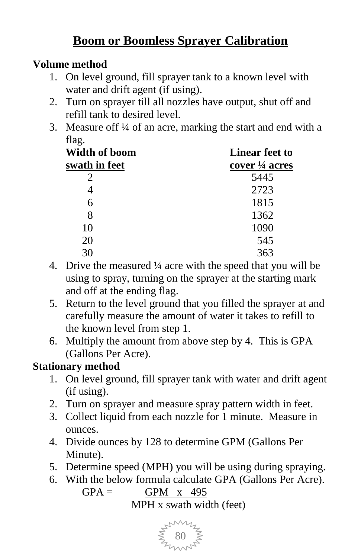## **Boom or Boomless Sprayer Calibration**

### **Volume method**

- 1. On level ground, fill sprayer tank to a known level with water and drift agent (if using).
- 2. Turn on sprayer till all nozzles have output, shut off and refill tank to desired level.
- 3. Measure off ¼ of an acre, marking the start and end with a flag.

| Width of boom<br>swath in feet | <b>Linear feet to</b><br>cover $\frac{1}{4}$ acres |  |  |
|--------------------------------|----------------------------------------------------|--|--|
|                                | 5445                                               |  |  |
|                                | 2723                                               |  |  |
| 6                              | 1815                                               |  |  |
| 8                              | 1362                                               |  |  |
| 10                             | 1090                                               |  |  |
| 20                             | 545                                                |  |  |
|                                |                                                    |  |  |

- 4. Drive the measured ¼ acre with the speed that you will be using to spray, turning on the sprayer at the starting mark and off at the ending flag.
- 5. Return to the level ground that you filled the sprayer at and carefully measure the amount of water it takes to refill to the known level from step 1.
- 6. Multiply the amount from above step by 4. This is GPA (Gallons Per Acre).

### **Stationary method**

- 1. On level ground, fill sprayer tank with water and drift agent (if using).
- 2. Turn on sprayer and measure spray pattern width in feet.
- 3. Collect liquid from each nozzle for 1 minute. Measure in ounces.
- 4. Divide ounces by 128 to determine GPM (Gallons Per Minute).
- 5. Determine speed (MPH) you will be using during spraying.
- 6. With the below formula calculate GPA (Gallons Per Acre).  $GPA = GPM \times 495$ MPH x swath width (feet)

80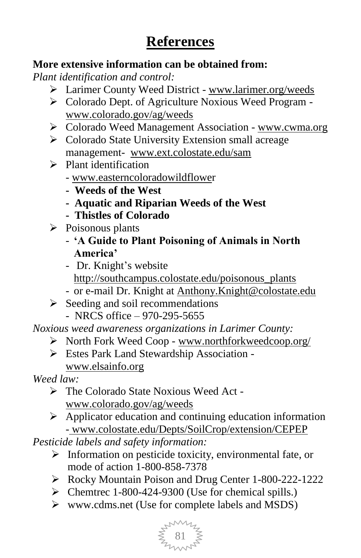# **References**

#### **More extensive information can be obtained from:**

*Plant identification and control:*

- Larimer County Weed District [www.larimer.org/weeds](http://www.larimer.org/weeds)
- Colorado Dept. of Agriculture Noxious Weed Program [www.colorado.gov/ag/weeds](http://www.colorado.gov/ag/weeds)
- ▶ Colorado Weed Management Association [www.cwma.org](http://www.cwma.org/)
- $\triangleright$  Colorado State University Extension small acreage management- www.ext.colostate.edu/sam
- $\triangleright$  Plant identification
	- [www.easterncoloradowildflower](http://www.easterncoloradowildflowe/)
	- **Weeds of the West**
	- **- Aquatic and Riparian Weeds of the West**
	- **Thistles of Colorado**
- $\triangleright$  Poisonous plants
	- **"A Guide to Plant Poisoning of Animals in North America"**
	- Dr. Knight's website [http://southcampus.colostate.edu/poisonous\\_plants](http://southcampus.colostate.edu/poisonous_plants/index.cfm?countno=NO)
	- or e-mail Dr. Knight at [Anthony.Knight@colostate.edu](mailto:Anthony.Knight@colostate.edu)
- $\triangleright$  Seeding and soil recommendations - NRCS office – 970-295-5655

*Noxious weed awareness organizations in Larimer County:*

- North Fork Weed Coop [www.northforkweedcoop.org/](http://www.northforkweedcoop.org/)
- Estes Park Land Stewardship Association www.elsainfo.org

*Weed law:*

- The Colorado State Noxious Weed Act www.colorado.gov/ag/weeds
- $\triangleright$  Applicator education and continuing education information - [www.colostate.edu/Depts/SoilCrop/extension/CEPEP](http://www.colostate.edu/Depts/SoilCrop/extension/CEPEP)

*Pesticide labels and safety information:* 

- $\triangleright$  Information on pesticide toxicity, environmental fate, or mode of action 1-800-858-7378
- Rocky Mountain Poison and Drug Center 1-800-222-1222
- $\triangleright$  Chemtrec 1-800-424-9300 (Use for chemical spills.)
- www.cdms.net (Use for complete labels and MSDS)

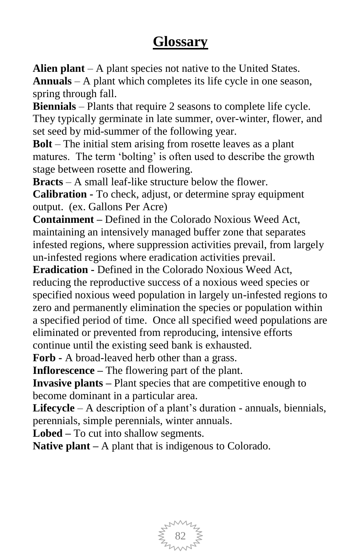## **Glossary**

**Alien plant** – A plant species not native to the United States. **Annuals** – A plant which completes its life cycle in one season, spring through fall.

**Biennials** – Plants that require 2 seasons to complete life cycle. They typically germinate in late summer, over-winter, flower, and set seed by mid-summer of the following year.

**Bolt** – The initial stem arising from rosette leaves as a plant matures. The term 'bolting' is often used to describe the growth stage between rosette and flowering.

**Bracts** – A small leaf-like structure below the flower.

**Calibration -** To check, adjust, or determine spray equipment output. (ex. Gallons Per Acre)

**Containment –** Defined in the Colorado Noxious Weed Act, maintaining an intensively managed buffer zone that separates infested regions, where suppression activities prevail, from largely un-infested regions where eradication activities prevail.

**Eradication -** Defined in the Colorado Noxious Weed Act, reducing the reproductive success of a noxious weed species or specified noxious weed population in largely un-infested regions to zero and permanently elimination the species or population within a specified period of time. Once all specified weed populations are eliminated or prevented from reproducing, intensive efforts continue until the existing seed bank is exhausted.

**Forb -** A broad-leaved herb other than a grass.

**Inflorescence –** The flowering part of the plant.

**Invasive plants –** Plant species that are competitive enough to become dominant in a particular area.

Lifecycle – A description of a plant's duration - annuals, biennials, perennials, simple perennials, winter annuals.

**Lobed –** To cut into shallow segments.

**Native plant –** A plant that is indigenous to Colorado.